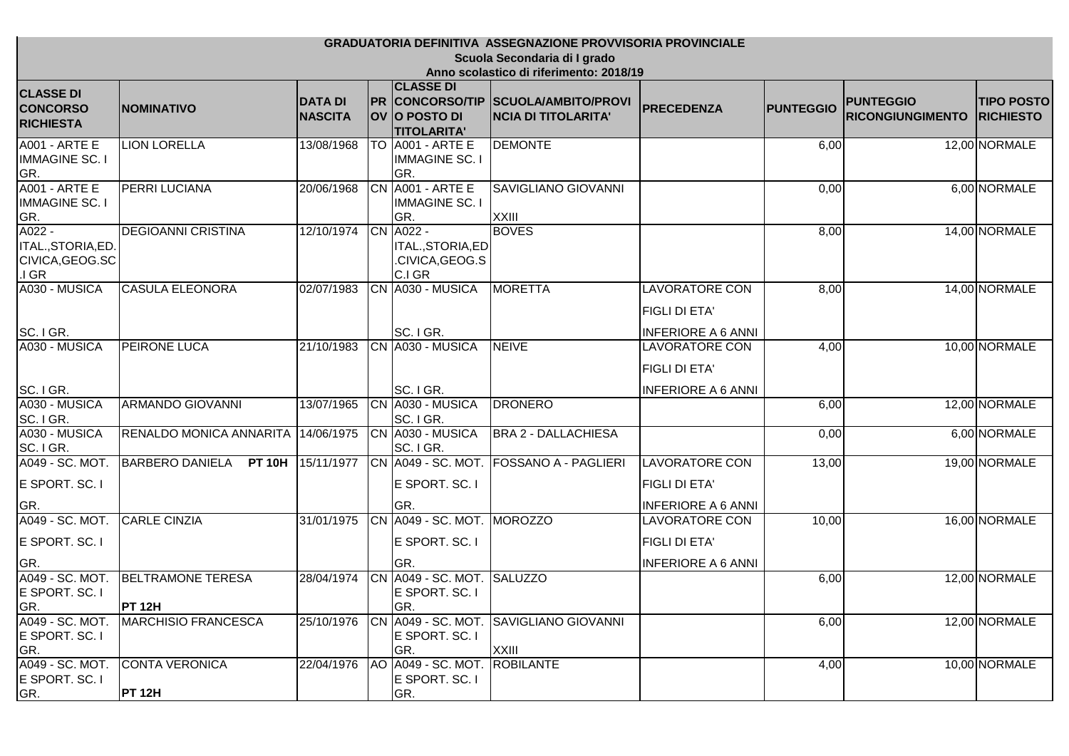| <b>GRADUATORIA DEFINITIVA ASSEGNAZIONE PROVVISORIA PROVINCIALE</b>                          |                                           |            |  |                                                             |                                                 |                                                                            |       |  |               |
|---------------------------------------------------------------------------------------------|-------------------------------------------|------------|--|-------------------------------------------------------------|-------------------------------------------------|----------------------------------------------------------------------------|-------|--|---------------|
| Scuola Secondaria di I grado<br>Anno scolastico di riferimento: 2018/19<br><b>CLASSE DI</b> |                                           |            |  |                                                             |                                                 |                                                                            |       |  |               |
|                                                                                             |                                           |            |  |                                                             |                                                 |                                                                            |       |  |               |
| <b>A001 - ARTE E</b><br><b>IMMAGINE SC. I</b><br>GR.                                        | <b>LION LORELLA</b>                       | 13/08/1968 |  | TO A001 - ARTE E<br><b>IMMAGINE SC. I</b><br>GR.            | <b>DEMONTE</b>                                  |                                                                            | 6,00  |  | 12,00 NORMALE |
| A001 - ARTE E<br><b>IMMAGINE SC. I</b><br>GR.                                               | <b>PERRI LUCIANA</b>                      | 20/06/1968 |  | CN A001 - ARTE E<br><b>IMMAGINE SC. I</b><br>GR.            | <b>SAVIGLIANO GIOVANNI</b><br>XXIII             |                                                                            | 0,00  |  | 6,00 NORMALE  |
| A022 -<br>ITAL., STORIA, ED<br>CIVICA, GEOG.SC<br>$I$ GR                                    | <b>DEGIOANNI CRISTINA</b>                 | 12/10/1974 |  | CN A022 -<br>ITAL., STORIA, ED<br>.CIVICA, GEOG.S<br>C.I GR | <b>BOVES</b>                                    |                                                                            | 8,00  |  | 14,00 NORMALE |
| A030 - MUSICA<br>SC. IGR.                                                                   | <b>CASULA ELEONORA</b>                    | 02/07/1983 |  | CN A030 - MUSICA<br>SC. I GR.                               | <b>MORETTA</b>                                  | <b>LAVORATORE CON</b><br>FIGLI DI ETA'<br><b>INFERIORE A 6 ANNI</b>        | 8,00  |  | 14,00 NORMALE |
| A030 - MUSICA                                                                               | <b>PEIRONE LUCA</b>                       | 21/10/1983 |  | CN A030 - MUSICA                                            | <b>NEIVE</b>                                    | <b>LAVORATORE CON</b><br><b>FIGLI DI ETA'</b>                              | 4,00  |  | 10,00 NORMALE |
| SC. IGR.<br>A030 - MUSICA<br>SC. I GR.                                                      | <b>ARMANDO GIOVANNI</b>                   | 13/07/1965 |  | SC. I GR.<br>CN A030 - MUSICA<br>SC. I GR.                  | <b>DRONERO</b>                                  | <b>INFERIORE A 6 ANNI</b>                                                  | 6,00  |  | 12,00 NORMALE |
| A030 - MUSICA<br>SC. I GR.                                                                  | <b>RENALDO MONICA ANNARITA</b>            | 14/06/1975 |  | CN A030 - MUSICA<br>SC. I GR.                               | <b>BRA 2 - DALLACHIESA</b>                      |                                                                            | 0,00  |  | 6,00 NORMALE  |
| A049 - SC. MOT.<br>E SPORT. SC. I<br>GR.                                                    | <b>BARBERO DANIELA</b><br><b>PT 10H</b>   | 15/11/1977 |  | CN A049 - SC. MOT.<br>E SPORT. SC. I<br>GR.                 | <b>FOSSANO A - PAGLIERI</b>                     | <b>LAVORATORE CON</b><br><b>FIGLI DI ETA'</b><br><b>INFERIORE A 6 ANNI</b> | 13,00 |  | 19,00 NORMALE |
| A049 - SC. MOT.<br>E SPORT. SC. I<br>GR.                                                    | <b>CARLE CINZIA</b>                       | 31/01/1975 |  | CN A049 - SC. MOT. MOROZZO<br>E SPORT. SC. I<br>GR.         |                                                 | <b>LAVORATORE CON</b><br><b>FIGLI DI ETA'</b><br><b>INFERIORE A 6 ANNI</b> | 10,00 |  | 16,00 NORMALE |
| A049 - SC. MOT.<br>E SPORT. SC. I<br>GR.                                                    | <b>BELTRAMONE TERESA</b><br><b>PT 12H</b> | 28/04/1974 |  | CN A049 - SC. MOT. SALUZZO<br>E SPORT. SC. I<br>GR.         |                                                 |                                                                            | 6,00  |  | 12,00 NORMALE |
| E SPORT. SC. I<br>GR.                                                                       | A049 - SC. MOT. MARCHISIO FRANCESCA       | 25/10/1976 |  | E SPORT. SC. I<br>GR.                                       | CN 4049 - SC. MOT. SAVIGLIANO GIOVANNI<br>XXIII |                                                                            | 6,00  |  | 12,00 NORMALE |
| A049 - SC. MOT.<br>E SPORT. SC. I<br><u>GR.</u>                                             | <b>CONTA VERONICA</b><br><b>PT 12H</b>    | 22/04/1976 |  | AO A049 - SC. MOT. ROBILANTE<br>E SPORT. SC. I<br>GR.       |                                                 |                                                                            | 4,00  |  | 10,00 NORMALE |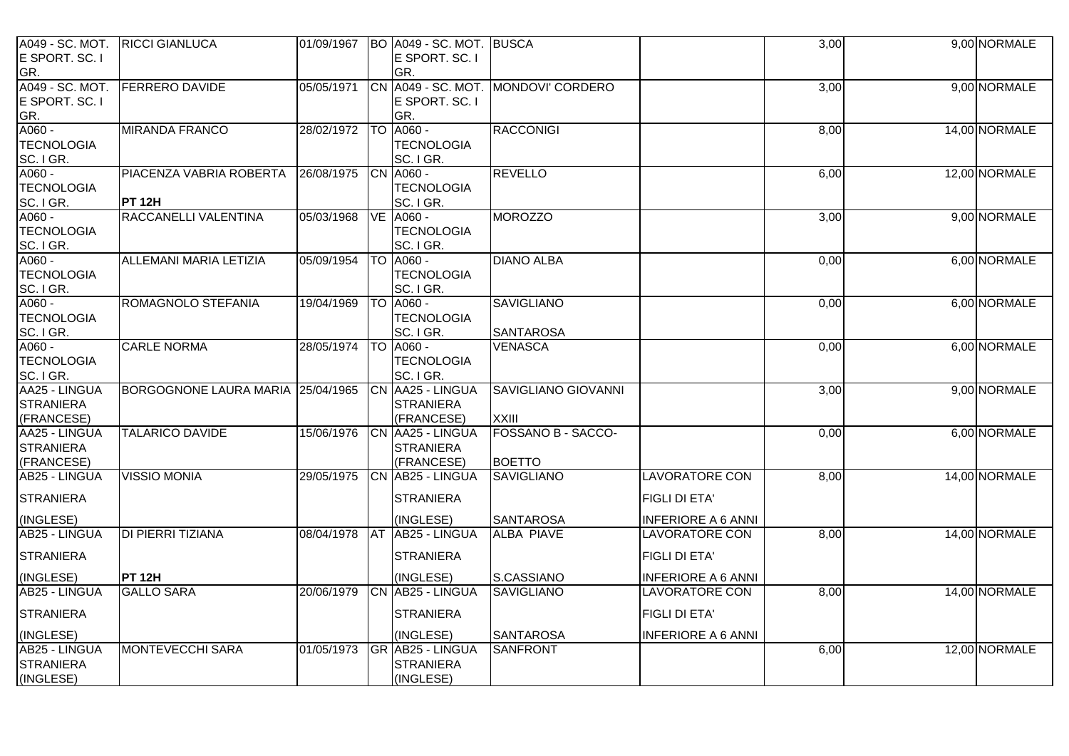| A049 - SC. MOT. RICCI GIANLUCA<br>E SPORT. SC. I |                                   | 01/09/1967 | BO A049 - SC. MOT. BUSCA<br>E SPORT. SC. I |                                     |                           | 3,00 | 9,00 NORMALE  |
|--------------------------------------------------|-----------------------------------|------------|--------------------------------------------|-------------------------------------|---------------------------|------|---------------|
| GR.                                              |                                   |            | GR.                                        |                                     |                           |      |               |
| A049 - SC. MOT.                                  | <b>FERRERO DAVIDE</b>             | 05/05/1971 |                                            | CN A049 - SC. MOT. MONDOVI' CORDERO |                           | 3,00 | 9,00 NORMALE  |
| E SPORT. SC. I                                   |                                   |            | E SPORT. SC. I                             |                                     |                           |      |               |
| GR.                                              |                                   |            | GR.                                        |                                     |                           |      |               |
| $A060 -$                                         | <b>MIRANDA FRANCO</b>             | 28/02/1972 | TO A060 -                                  | <b>RACCONIGI</b>                    |                           | 8,00 | 14,00 NORMALE |
| <b>TECNOLOGIA</b>                                |                                   |            | <b>TECNOLOGIA</b>                          |                                     |                           |      |               |
| SC. I GR.<br>A060 -                              |                                   |            | SC. I GR.                                  |                                     |                           |      |               |
| <b>TECNOLOGIA</b>                                | PIACENZA VABRIA ROBERTA           | 26/08/1975 | CN A060 -<br><b>TECNOLOGIA</b>             | <b>REVELLO</b>                      |                           | 6,00 | 12,00 NORMALE |
| SC. I GR.                                        | <b>PT 12H</b>                     |            | SC. I GR.                                  |                                     |                           |      |               |
| A060 -                                           | RACCANELLI VALENTINA              | 05/03/1968 | <b>VE A060 -</b>                           | <b>MOROZZO</b>                      |                           | 3,00 | 9,00 NORMALE  |
| <b>TECNOLOGIA</b>                                |                                   |            | <b>TECNOLOGIA</b>                          |                                     |                           |      |               |
| SC. I GR.                                        |                                   |            | SC. I GR.                                  |                                     |                           |      |               |
| A060 -                                           | <b>ALLEMANI MARIA LETIZIA</b>     | 05/09/1954 | <b>TO A060 -</b>                           | <b>DIANO ALBA</b>                   |                           | 0,00 | 6,00 NORMALE  |
| <b>TECNOLOGIA</b>                                |                                   |            | <b>TECNOLOGIA</b>                          |                                     |                           |      |               |
| SC. I GR.                                        |                                   |            | SC. I GR.                                  |                                     |                           |      |               |
| A060 -                                           | ROMAGNOLO STEFANIA                | 19/04/1969 | <b>TO A060 -</b>                           | <b>SAVIGLIANO</b>                   |                           | 0,00 | 6,00 NORMALE  |
| <b>TECNOLOGIA</b>                                |                                   |            | <b>TECNOLOGIA</b>                          |                                     |                           |      |               |
| SC. I GR.                                        |                                   |            | SC. I GR.                                  | <b>SANTAROSA</b>                    |                           |      |               |
| A060 -                                           | <b>CARLE NORMA</b>                | 28/05/1974 | <b>TO A060 -</b>                           | <b>VENASCA</b>                      |                           | 0,00 | 6,00 NORMALE  |
| <b>TECNOLOGIA</b><br>SC. IGR.                    |                                   |            | <b>TECNOLOGIA</b><br>SC. I GR.             |                                     |                           |      |               |
| AA25 - LINGUA                                    | BORGOGNONE LAURA MARIA 25/04/1965 |            | CN AA25 - LINGUA                           | <b>SAVIGLIANO GIOVANNI</b>          |                           | 3,00 | 9,00 NORMALE  |
| <b>STRANIERA</b>                                 |                                   |            | <b>STRANIERA</b>                           |                                     |                           |      |               |
| (FRANCESE)                                       |                                   |            | (FRANCESE)                                 | <b>XXIII</b>                        |                           |      |               |
| AA25 - LINGUA                                    | <b>TALARICO DAVIDE</b>            | 15/06/1976 | CN AA25 - LINGUA                           | <b>FOSSANO B - SACCO-</b>           |                           | 0,00 | 6,00 NORMALE  |
| <b>STRANIERA</b>                                 |                                   |            | <b>STRANIERA</b>                           |                                     |                           |      |               |
| (FRANCESE)                                       |                                   |            | (FRANCESE)                                 | <b>BOETTO</b>                       |                           |      |               |
| AB25 - LINGUA                                    | <b>VISSIO MONIA</b>               | 29/05/1975 | CN AB25 - LINGUA                           | <b>SAVIGLIANO</b>                   | <b>LAVORATORE CON</b>     | 8,00 | 14,00 NORMALE |
| <b>STRANIERA</b>                                 |                                   |            | <b>STRANIERA</b>                           |                                     | <b>FIGLI DI ETA'</b>      |      |               |
| (INGLESE)                                        |                                   |            | (INGLESE)                                  | <b>SANTAROSA</b>                    | <b>INFERIORE A 6 ANNI</b> |      |               |
| <b>AB25 - LINGUA</b>                             | DI PIERRI TIZIANA                 | 08/04/1978 | AT AB25 - LINGUA                           | <b>ALBA PIAVE</b>                   | <b>LAVORATORE CON</b>     | 8,00 | 14,00 NORMALE |
| <b>STRANIERA</b>                                 |                                   |            | <b>STRANIERA</b>                           |                                     | <b>FIGLI DI ETA'</b>      |      |               |
| (INGLESE)                                        | <b>PT 12H</b>                     |            | (INGLESE)                                  | S.CASSIANO                          | <b>INFERIORE A 6 ANNI</b> |      |               |
| AB25 - LINGUA                                    | <b>GALLO SARA</b>                 | 20/06/1979 | CN AB25 - LINGUA                           | <b>SAVIGLIANO</b>                   | <b>LAVORATORE CON</b>     | 8,00 | 14,00 NORMALE |
| <b>STRANIERA</b>                                 |                                   |            | <b>STRANIERA</b>                           |                                     | <b>FIGLI DI ETA'</b>      |      |               |
| (INGLESE)                                        |                                   |            | (INGLESE)                                  | <b>SANTAROSA</b>                    | <b>INFERIORE A 6 ANNI</b> |      |               |
| AB25 - LINGUA                                    | <b>MONTEVECCHI SARA</b>           | 01/05/1973 | <b>GR AB25 - LINGUA</b>                    | <b>SANFRONT</b>                     |                           | 6,00 | 12,00 NORMALE |
| <b>STRANIERA</b>                                 |                                   |            | <b>STRANIERA</b>                           |                                     |                           |      |               |
| (INGLESE)                                        |                                   |            | (INGLESE)                                  |                                     |                           |      |               |